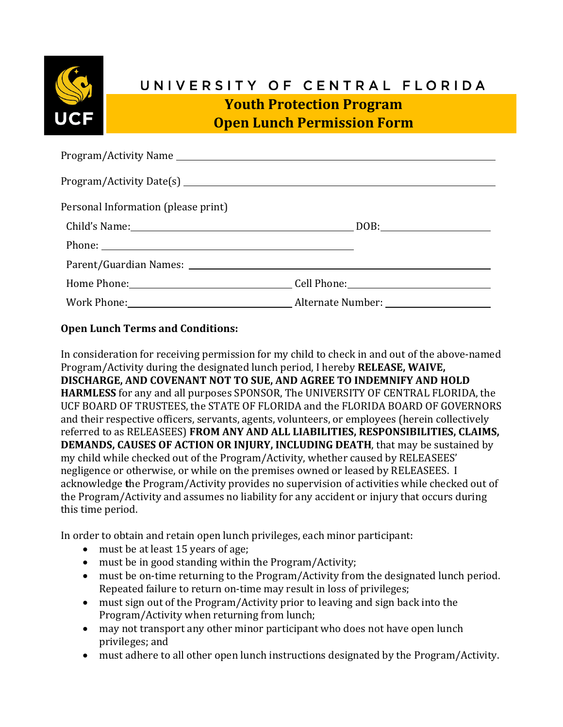

## UNIVERSITY OF CENTRAL FLORIDA

**Youth Protection Program Open Lunch Permission Form**

| Personal Information (please print) |  |
|-------------------------------------|--|
|                                     |  |
| Phone:                              |  |
|                                     |  |
|                                     |  |
|                                     |  |

## **Open Lunch Terms and Conditions:**

In consideration for receiving permission for my child to check in and out of the above-named Program/Activity during the designated lunch period, I hereby **RELEASE, WAIVE, DISCHARGE, AND COVENANT NOT TO SUE, AND AGREE TO INDEMNIFY AND HOLD HARMLESS** for any and all purposes SPONSOR, The UNIVERSITY OF CENTRAL FLORIDA, the UCF BOARD OF TRUSTEES, the STATE OF FLORIDA and the FLORIDA BOARD OF GOVERNORS and their respective officers, servants, agents, volunteers, or employees (herein collectively referred to as RELEASEES) **FROM ANY AND ALL LIABILITIES, RESPONSIBILITIES, CLAIMS, DEMANDS, CAUSES OF ACTION OR INJURY, INCLUDING DEATH**, that may be sustained by my child while checked out of the Program/Activity, whether caused by RELEASEES' negligence or otherwise, or while on the premises owned or leased by RELEASEES. I acknowledge **t**he Program/Activity provides no supervision of activities while checked out of the Program/Activity and assumes no liability for any accident or injury that occurs during this time period.

In order to obtain and retain open lunch privileges, each minor participant:

- must be at least 15 years of age;
- must be in good standing within the Program/Activity;
- must be on-time returning to the Program/Activity from the designated lunch period. Repeated failure to return on-time may result in loss of privileges;
- must sign out of the Program/Activity prior to leaving and sign back into the Program/Activity when returning from lunch;
- may not transport any other minor participant who does not have open lunch privileges; and
- must adhere to all other open lunch instructions designated by the Program/Activity.